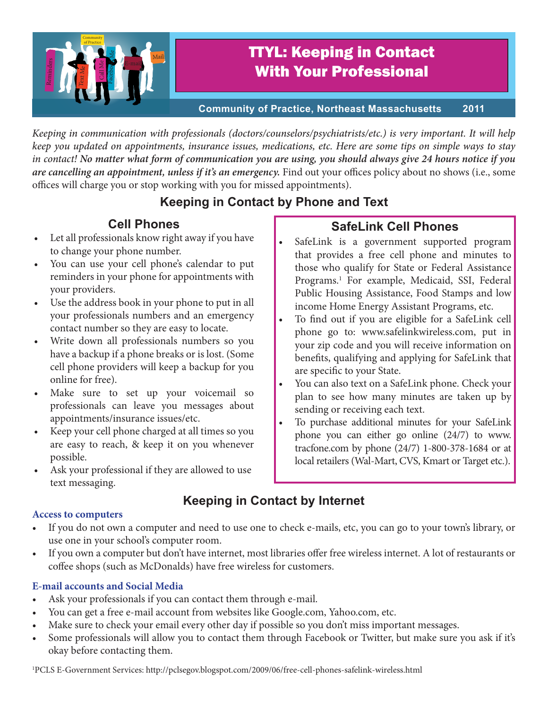

# TTYL: Keeping in Contact With Your Professional

**Community of Practice, Northeast Massachusetts 2011**

*Keeping in communication with professionals (doctors/counselors/psychiatrists/etc.) is very important. It will help keep you updated on appointments, insurance issues, medications, etc. Here are some tips on simple ways to stay in contact! No matter what form of communication you are using, you should always give 24 hours notice if you are cancelling an appointment, unless if it's an emergency.* Find out your offices policy about no shows (i.e., some offices will charge you or stop working with you for missed appointments).

## **Keeping in Contact by Phone and Text**

### **Cell Phones**

- Let all professionals know right away if you have to change your phone number.
- You can use your cell phone's calendar to put reminders in your phone for appointments with your providers.
- Use the address book in your phone to put in all your professionals numbers and an emergency contact number so they are easy to locate.
- Write down all professionals numbers so you have a backup if a phone breaks or is lost. (Some cell phone providers will keep a backup for you online for free).
- Make sure to set up your voicemail so professionals can leave you messages about appointments/insurance issues/etc.
- Keep your cell phone charged at all times so you are easy to reach, & keep it on you whenever possible.
- Ask your professional if they are allowed to use text messaging.

### **SafeLink Cell Phones**

- SafeLink is a government supported program that provides a free cell phone and minutes to those who qualify for State or Federal Assistance Programs.<sup>1</sup> For example, Medicaid, SSI, Federal Public Housing Assistance, Food Stamps and low income Home Energy Assistant Programs, etc.
- To find out if you are eligible for a SafeLink cell phone go to: www.safelinkwireless.com, put in your zip code and you will receive information on benefits, qualifying and applying for SafeLink that are specific to your State.
- You can also text on a SafeLink phone. Check your plan to see how many minutes are taken up by sending or receiving each text.
- To purchase additional minutes for your SafeLink phone you can either go online (24/7) to www. tracfone.com by phone (24/7) 1-800-378-1684 or at local retailers (Wal-Mart, CVS, Kmart or Target etc.).

## **Keeping in Contact by Internet**

#### **Access to computers**

- If you do not own a computer and need to use one to check e-mails, etc, you can go to your town's library, or use one in your school's computer room.
- • If you own a computer but don't have internet, most libraries offer free wireless internet. A lot of restaurants or coffee shops (such as McDonalds) have free wireless for customers.

### **E-mail accounts and Social Media**

- Ask your professionals if you can contact them through e-mail.
- You can get a free e-mail account from websites like Google.com, Yahoo.com, etc.
- Make sure to check your email every other day if possible so you don't miss important messages.
- Some professionals will allow you to contact them through Facebook or Twitter, but make sure you ask if it's okay before contacting them.

1 PCLS E-Government Services: http://pclsegov.blogspot.com/2009/06/free-cell-phones-safelink-wireless.html